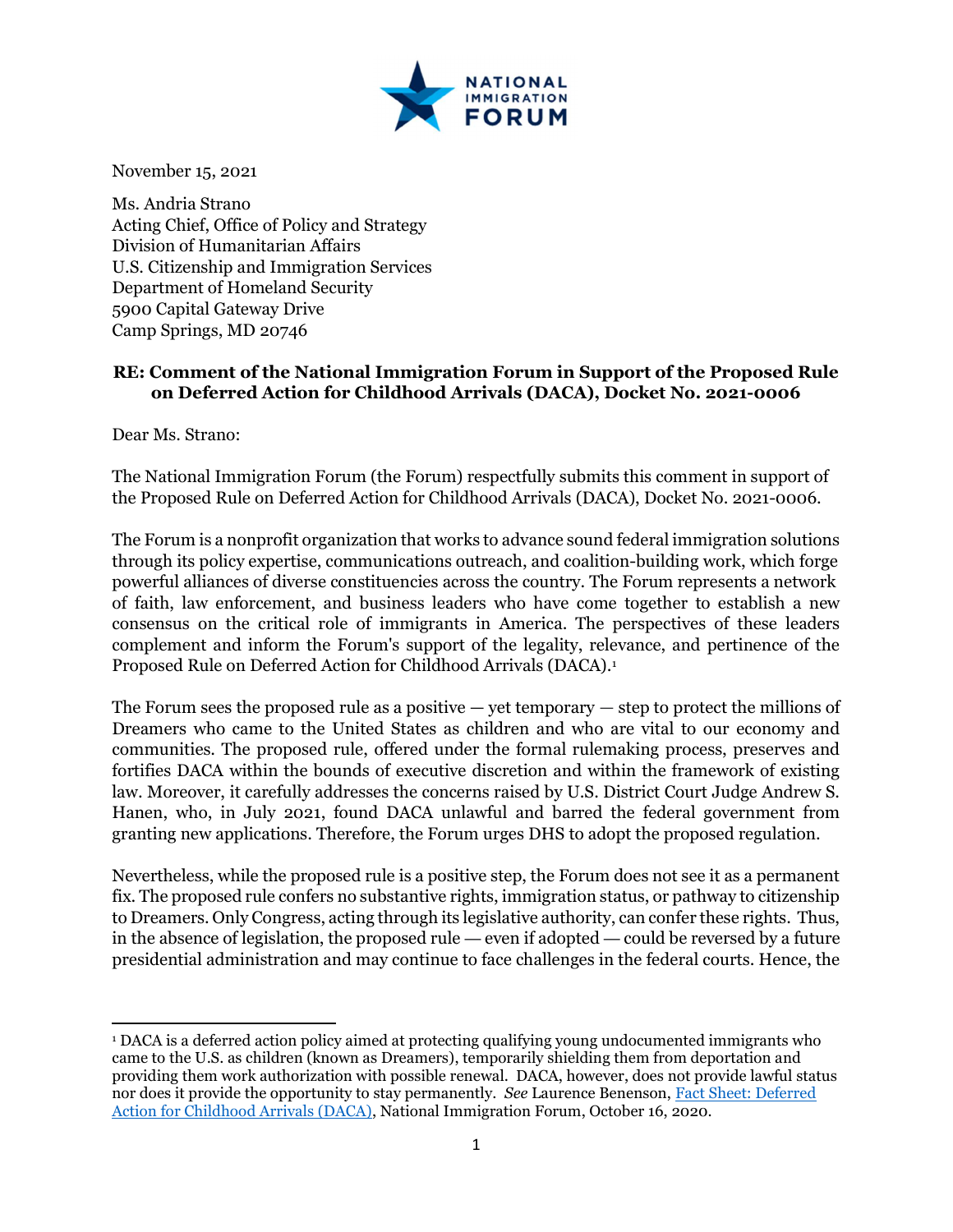

November 15, 2021

Ms. Andria Strano Acting Chief, Office of Policy and Strategy Division of Humanitarian Affairs U.S. Citizenship and Immigration Services Department of Homeland Security 5900 Capital Gateway Drive Camp Springs, MD 20746

## RE: Comment of the National Immigration Forum in Support of the Proposed Rule on Deferred Action for Childhood Arrivals (DACA), Docket No. 2021-0006

Dear Ms. Strano:

The National Immigration Forum (the Forum) respectfully submits this comment in support of the Proposed Rule on Deferred Action for Childhood Arrivals (DACA), Docket No. 2021-0006.

The Forum is a nonprofit organization that works to advance sound federal immigration solutions through its policy expertise, communications outreach, and coalition-building work, which forge powerful alliances of diverse constituencies across the country. The Forum represents a network of faith, law enforcement, and business leaders who have come together to establish a new consensus on the critical role of immigrants in America. The perspectives of these leaders complement and inform the Forum's support of the legality, relevance, and pertinence of the Proposed Rule on Deferred Action for Childhood Arrivals (DACA).<sup>1</sup>

The Forum sees the proposed rule as a positive — yet temporary — step to protect the millions of Dreamers who came to the United States as children and who are vital to our economy and communities. The proposed rule, offered under the formal rulemaking process, preserves and fortifies DACA within the bounds of executive discretion and within the framework of existing law. Moreover, it carefully addresses the concerns raised by U.S. District Court Judge Andrew S. Hanen, who, in July 2021, found DACA unlawful and barred the federal government from granting new applications. Therefore, the Forum urges DHS to adopt the proposed regulation.

Nevertheless, while the proposed rule is a positive step, the Forum does not see it as a permanent fix. The proposed rule confers no substantive rights, immigration status, or pathway to citizenship to Dreamers. Only Congress, acting through its legislative authority, can confer these rights. Thus, in the absence of legislation, the proposed rule — even if adopted — could be reversed by a future presidential administration and may continue to face challenges in the federal courts. Hence, the

<sup>1</sup> DACA is a deferred action policy aimed at protecting qualifying young undocumented immigrants who came to the U.S. as children (known as Dreamers), temporarily shielding them from deportation and providing them work authorization with possible renewal. DACA, however, does not provide lawful status nor does it provide the opportunity to stay permanently. See Laurence Benenson, Fact Sheet: Deferred Action for Childhood Arrivals (DACA), National Immigration Forum, October 16, 2020.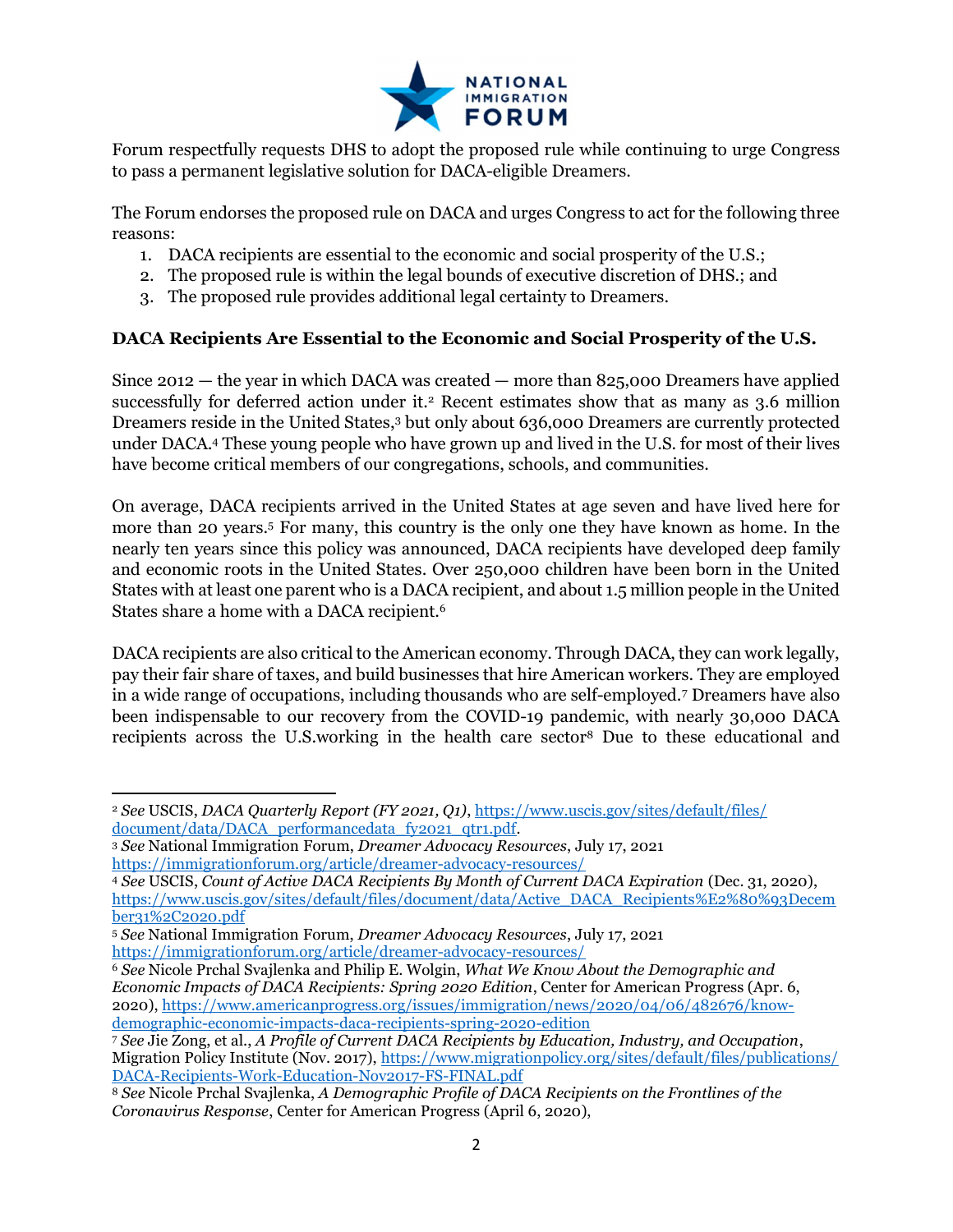

Forum respectfully requests DHS to adopt the proposed rule while continuing to urge Congress to pass a permanent legislative solution for DACA-eligible Dreamers.

The Forum endorses the proposed rule on DACA and urges Congress to act for the following three reasons:

- 1. DACA recipients are essential to the economic and social prosperity of the U.S.;
- 2. The proposed rule is within the legal bounds of executive discretion of DHS.; and
- 3. The proposed rule provides additional legal certainty to Dreamers.

#### DACA Recipients Are Essential to the Economic and Social Prosperity of the U.S.

Since  $2012$  — the year in which DACA was created — more than 825,000 Dreamers have applied successfully for deferred action under it.<sup>2</sup> Recent estimates show that as many as 3.6 million Dreamers reside in the United States,<sup>3</sup> but only about 636,000 Dreamers are currently protected under DACA.<sup>4</sup> These young people who have grown up and lived in the U.S. for most of their lives have become critical members of our congregations, schools, and communities.

On average, DACA recipients arrived in the United States at age seven and have lived here for more than 20 years.<sup>5</sup> For many, this country is the only one they have known as home. In the nearly ten years since this policy was announced, DACA recipients have developed deep family and economic roots in the United States. Over 250,000 children have been born in the United States with at least one parent who is a DACA recipient, and about 1.5 million people in the United States share a home with a DACA recipient.<sup>6</sup>

DACA recipients are also critical to the American economy. Through DACA, they can work legally, pay their fair share of taxes, and build businesses that hire American workers. They are employed in a wide range of occupations, including thousands who are self-employed.<sup>7</sup> Dreamers have also been indispensable to our recovery from the COVID-19 pandemic, with nearly 30,000 DACA recipients across the U.S.working in the health care sector8 Due to these educational and

<sup>&</sup>lt;sup>2</sup> See USCIS, DACA Quarterly Report (FY 2021, Q1), https://www.uscis.gov/sites/default/files/ document/data/DACA\_performancedata\_fy2021\_qtr1.pdf.

<sup>3</sup> See National Immigration Forum, Dreamer Advocacy Resources, July 17, 2021 https://immigrationforum.org/article/dreamer-advocacy-resources/

<sup>4</sup> See USCIS, Count of Active DACA Recipients By Month of Current DACA Expiration (Dec. 31, 2020), https://www.uscis.gov/sites/default/files/document/data/Active\_DACA\_Recipients%E2%80%93Decem ber31%2C2020.pdf

<sup>5</sup> See National Immigration Forum, Dreamer Advocacy Resources, July 17, 2021 https://immigrationforum.org/article/dreamer-advocacy-resources/

<sup>6</sup> See Nicole Prchal Svajlenka and Philip E. Wolgin, What We Know About the Demographic and Economic Impacts of DACA Recipients: Spring 2020 Edition, Center for American Progress (Apr. 6, 2020), https://www.americanprogress.org/issues/immigration/news/2020/04/06/482676/knowdemographic-economic-impacts-daca-recipients-spring-2020-edition

<sup>7</sup> See Jie Zong, et al., A Profile of Current DACA Recipients by Education, Industry, and Occupation, Migration Policy Institute (Nov. 2017), https://www.migrationpolicy.org/sites/default/files/publications/ DACA-Recipients-Work-Education-Nov2017-FS-FINAL.pdf

<sup>8</sup> See Nicole Prchal Svajlenka, A Demographic Profile of DACA Recipients on the Frontlines of the Coronavirus Response, Center for American Progress (April 6, 2020),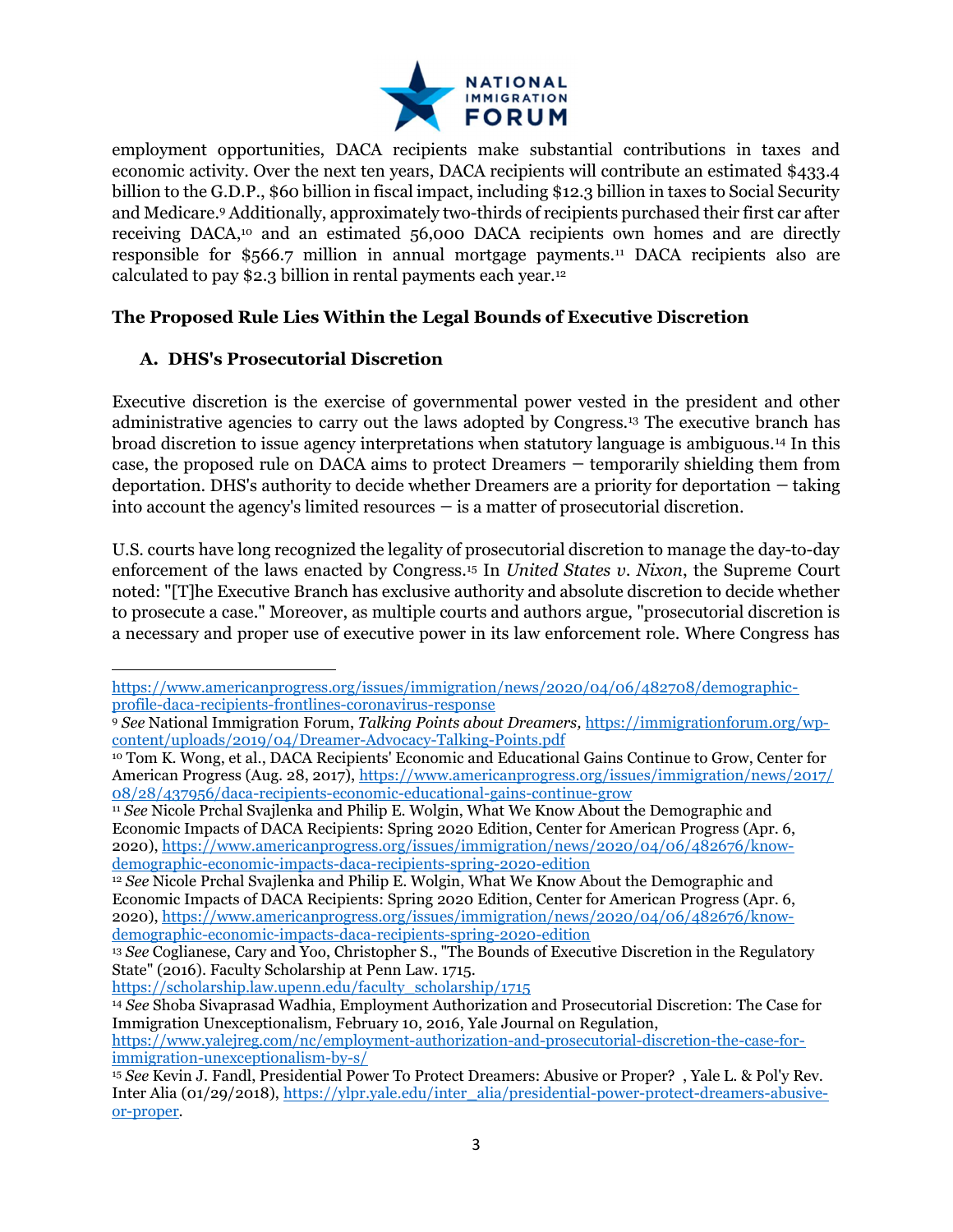

employment opportunities, DACA recipients make substantial contributions in taxes and economic activity. Over the next ten years, DACA recipients will contribute an estimated \$433.4 billion to the G.D.P., \$60 billion in fiscal impact, including \$12.3 billion in taxes to Social Security and Medicare.<sup>9</sup> Additionally, approximately two-thirds of recipients purchased their first car after receiving DACA,10 and an estimated 56,000 DACA recipients own homes and are directly responsible for \$566.7 million in annual mortgage payments.11 DACA recipients also are calculated to pay \$2.3 billion in rental payments each year.<sup>12</sup>

#### The Proposed Rule Lies Within the Legal Bounds of Executive Discretion

## A. DHS's Prosecutorial Discretion

Executive discretion is the exercise of governmental power vested in the president and other administrative agencies to carry out the laws adopted by Congress.13 The executive branch has broad discretion to issue agency interpretations when statutory language is ambiguous.14 In this case, the proposed rule on DACA aims to protect Dreamers — temporarily shielding them from deportation. DHS's authority to decide whether Dreamers are a priority for deportation — taking into account the agency's limited resources  $-\text{ is a matter of of of } 1$  discretion.

U.S. courts have long recognized the legality of prosecutorial discretion to manage the day-to-day enforcement of the laws enacted by Congress.15 In United States v. Nixon, the Supreme Court noted: "[T]he Executive Branch has exclusive authority and absolute discretion to decide whether to prosecute a case." Moreover, as multiple courts and authors argue, "prosecutorial discretion is a necessary and proper use of executive power in its law enforcement role. Where Congress has

https://scholarship.law.upenn.edu/faculty\_scholarship/1715

https://www.yalejreg.com/nc/employment-authorization-and-prosecutorial-discretion-the-case-forimmigration-unexceptionalism-by-s/

https://www.americanprogress.org/issues/immigration/news/2020/04/06/482708/demographicprofile-daca-recipients-frontlines-coronavirus-response

<sup>9</sup> See National Immigration Forum, Talking Points about Dreamers, https://immigrationforum.org/wpcontent/uploads/2019/04/Dreamer-Advocacy-Talking-Points.pdf

<sup>10</sup> Tom K. Wong, et al., DACA Recipients' Economic and Educational Gains Continue to Grow, Center for American Progress (Aug. 28, 2017), https://www.americanprogress.org/issues/immigration/news/2017/ 08/28/437956/daca-recipients-economic-educational-gains-continue-grow

<sup>&</sup>lt;sup>11</sup> See Nicole Prchal Svajlenka and Philip E. Wolgin, What We Know About the Demographic and Economic Impacts of DACA Recipients: Spring 2020 Edition, Center for American Progress (Apr. 6, 2020), https://www.americanprogress.org/issues/immigration/news/2020/04/06/482676/knowdemographic-economic-impacts-daca-recipients-spring-2020-edition

<sup>&</sup>lt;sup>12</sup> See Nicole Prchal Svajlenka and Philip E. Wolgin, What We Know About the Demographic and Economic Impacts of DACA Recipients: Spring 2020 Edition, Center for American Progress (Apr. 6, 2020), https://www.americanprogress.org/issues/immigration/news/2020/04/06/482676/knowdemographic-economic-impacts-daca-recipients-spring-2020-edition

<sup>&</sup>lt;sup>13</sup> See Coglianese, Cary and Yoo, Christopher S., "The Bounds of Executive Discretion in the Regulatory State" (2016). Faculty Scholarship at Penn Law. 1715.

<sup>14</sup> See Shoba Sivaprasad Wadhia, Employment Authorization and Prosecutorial Discretion: The Case for Immigration Unexceptionalism, February 10, 2016, Yale Journal on Regulation,

<sup>15</sup> See Kevin J. Fandl, Presidential Power To Protect Dreamers: Abusive or Proper? , Yale L. & Pol'y Rev. Inter Alia (01/29/2018), https://ylpr.yale.edu/inter\_alia/presidential-power-protect-dreamers-abusiveor-proper.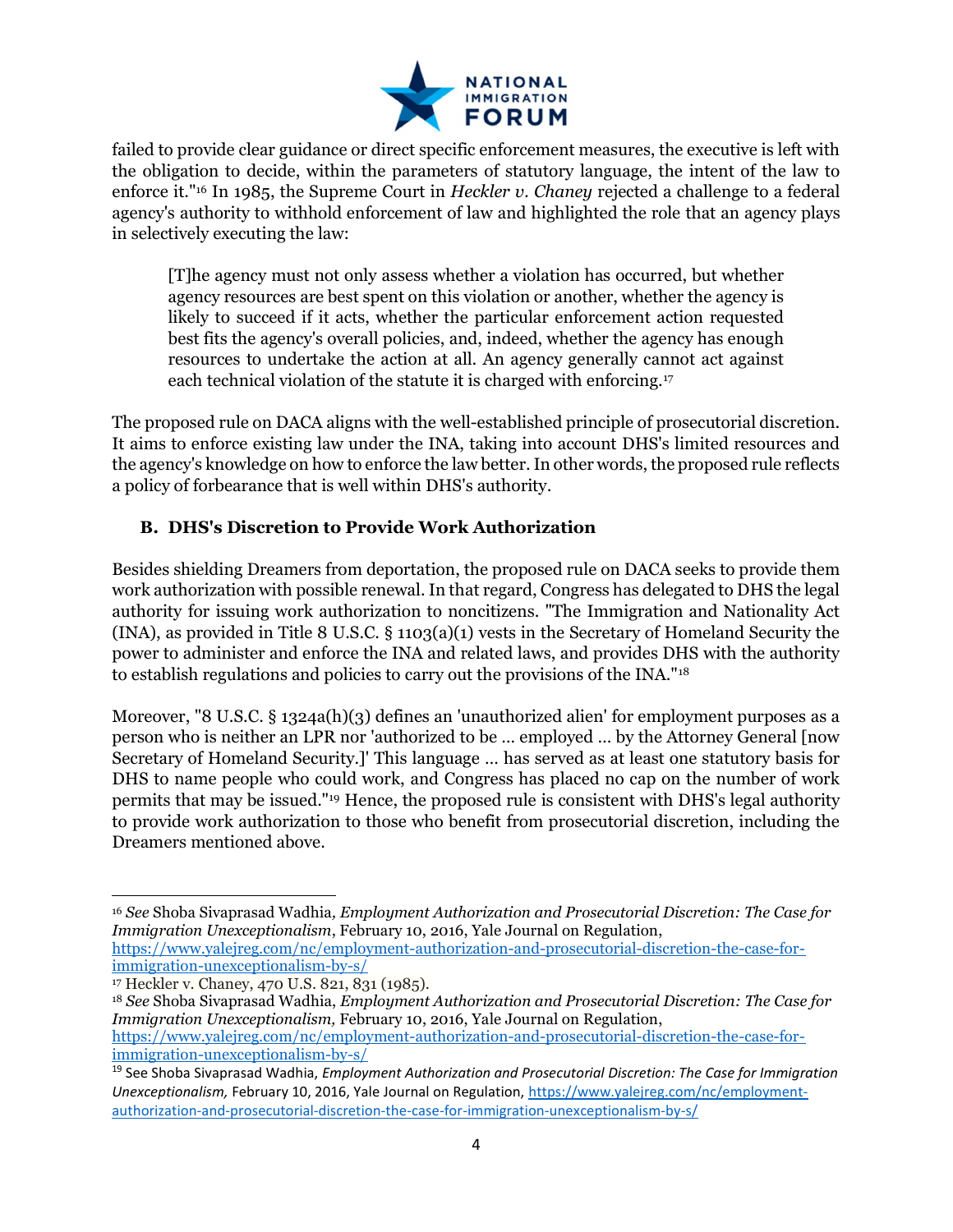

failed to provide clear guidance or direct specific enforcement measures, the executive is left with the obligation to decide, within the parameters of statutory language, the intent of the law to enforce it."16 In 1985, the Supreme Court in Heckler v. Chaney rejected a challenge to a federal agency's authority to withhold enforcement of law and highlighted the role that an agency plays in selectively executing the law:

[T]he agency must not only assess whether a violation has occurred, but whether agency resources are best spent on this violation or another, whether the agency is likely to succeed if it acts, whether the particular enforcement action requested best fits the agency's overall policies, and, indeed, whether the agency has enough resources to undertake the action at all. An agency generally cannot act against each technical violation of the statute it is charged with enforcing.<sup>17</sup>

The proposed rule on DACA aligns with the well-established principle of prosecutorial discretion. It aims to enforce existing law under the INA, taking into account DHS's limited resources and the agency's knowledge on how to enforce the law better. In other words, the proposed rule reflects a policy of forbearance that is well within DHS's authority.

# B. DHS's Discretion to Provide Work Authorization

Besides shielding Dreamers from deportation, the proposed rule on DACA seeks to provide them work authorization with possible renewal. In that regard, Congress has delegated to DHS the legal authority for issuing work authorization to noncitizens. "The Immigration and Nationality Act  $(INA)$ , as provided in Title 8 U.S.C. § 1103(a)(1) vests in the Secretary of Homeland Security the power to administer and enforce the INA and related laws, and provides DHS with the authority to establish regulations and policies to carry out the provisions of the INA."<sup>18</sup>

Moreover, "8 U.S.C. § 1324a(h)(3) defines an 'unauthorized alien' for employment purposes as a person who is neither an LPR nor 'authorized to be … employed … by the Attorney General [now Secretary of Homeland Security.]' This language … has served as at least one statutory basis for DHS to name people who could work, and Congress has placed no cap on the number of work permits that may be issued."19 Hence, the proposed rule is consistent with DHS's legal authority to provide work authorization to those who benefit from prosecutorial discretion, including the Dreamers mentioned above.

<sup>16</sup> See Shoba Sivaprasad Wadhia, Employment Authorization and Prosecutorial Discretion: The Case for Immigration Unexceptionalism, February 10, 2016, Yale Journal on Regulation,

https://www.yalejreg.com/nc/employment-authorization-and-prosecutorial-discretion-the-case-forimmigration-unexceptionalism-by-s/

<sup>17</sup> Heckler v. Chaney, 470 U.S. 821, 831 (1985).

<sup>&</sup>lt;sup>18</sup> See Shoba Sivaprasad Wadhia, *Employment Authorization and Prosecutorial Discretion: The Case for* Immigration Unexceptionalism, February 10, 2016, Yale Journal on Regulation, https://www.yalejreg.com/nc/employment-authorization-and-prosecutorial-discretion-the-case-forimmigration-unexceptionalism-by-s/

<sup>&</sup>lt;sup>19</sup> See Shoba Sivaprasad Wadhia, Employment Authorization and Prosecutorial Discretion: The Case for Immigration Unexceptionalism, February 10, 2016, Yale Journal on Regulation, https://www.yalejreg.com/nc/employmentauthorization-and-prosecutorial-discretion-the-case-for-immigration-unexceptionalism-by-s/